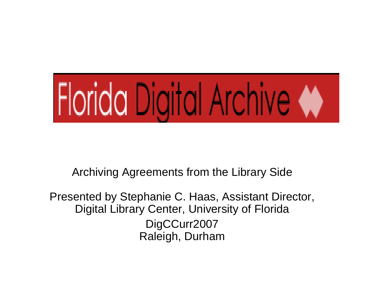

Archiving Agreements from the Library Side

Presented by Stephanie C. Haas, Assistant Director, Digital Library Center, University of Florida DigCCurr2007 Raleigh, Durham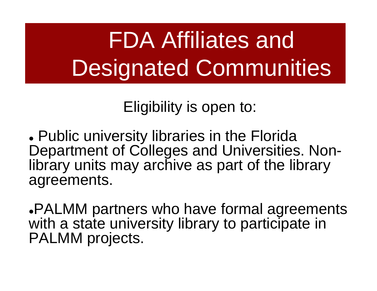# FDA Affiliates and Designated Communities

Eligibility is open to:

. Public university libraries in the Florida Department of Colleges and Universities. Nonlibrary units may archive as part of the library agreements.

<sup>z</sup>PALMM partners who have formal agreements with a state university library to participate in PALMM projects.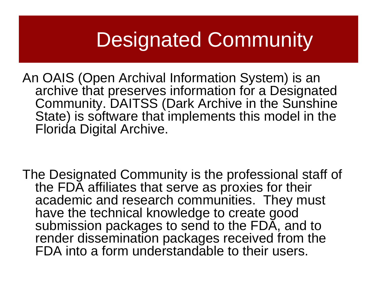## Designated Community

An OAIS (Open Archival Information System) is an archive that preserves information for a Designated Community. DAITSS (Dark Archive in the Sunshine State) is software that implements this model in the Florida Digital Archive.

The Designated Community is the professional staff of the FDA affiliates that serve as proxies for their academic and research communities. They must have the technical knowledge to create good submission packages to send to the FDA, and to render dissemination packages received from the FDA into a form understandable to their users.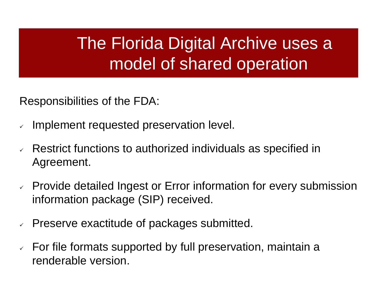#### The Florida Digital Archive uses a model of shared operation

Responsibilities of the FDA:

- $\checkmark$ Implement requested preservation level.
- $\checkmark$  Restrict functions to authorized individuals as specified in Agreement.
- $\vee$  Provide detailed Ingest or Error information for every submission information package (SIP) received.
- $\checkmark$ Preserve exactitude of packages submitted.
- $\checkmark$  For file formats supported by full preservation, maintain a renderable version.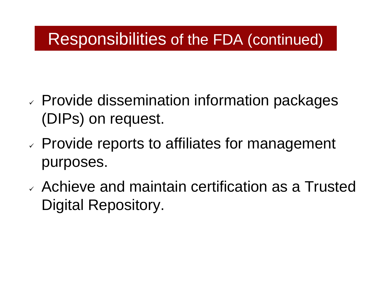#### Responsibilities of the FDA (continued) Responsibilities of the FDA (continued)

- $\checkmark$  $\triangledown$  Provide dissemination information packages (DIPs) on request.
- $\checkmark$  $\vee$  Provide reports to affiliates for management purposes.
- $\checkmark$  Achieve and maintain certification as a Trusted Digital Repository.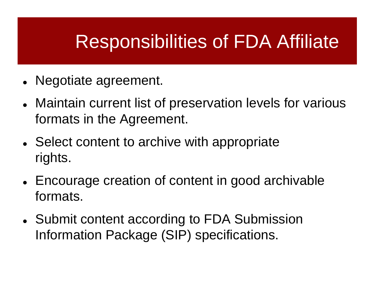## Responsibilities of FDA Affiliate

- Negotiate agreement.
- Maintain current list of preservation levels for various formats in the Agreement.
- Select content to archive with appropriate rights.
- Encourage creation of content in good archivable formats.
- Submit content according to FDA Submission Information Package (SIP) specifications.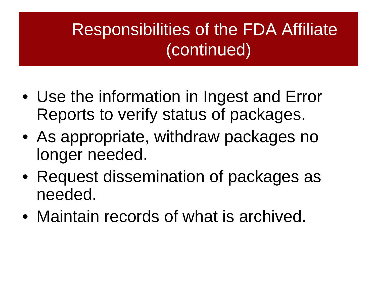### Responsibilities of the FDA Affiliate (continued)

- Use the information in Ingest and Error Reports to verify status of packages.
- As appropriate, withdraw packages no longer needed.
- Request dissemination of packages as needed.
- Maintain records of what is archived.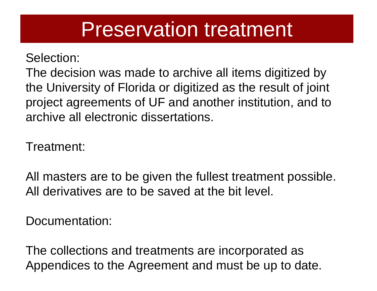## Preservation treatment

#### Selection:

The decision was made to archive all items digitized by the University of Florida or digitized as the result of joint project agreements of UF and another institution, and to archive all electronic dissertations.

Treatment:

All masters are to be given the fullest treatment possible. All derivatives are to be saved at the bit level.

Documentation:

The collections and treatments are incorporated as Appendices to the Agreement and must be up to date.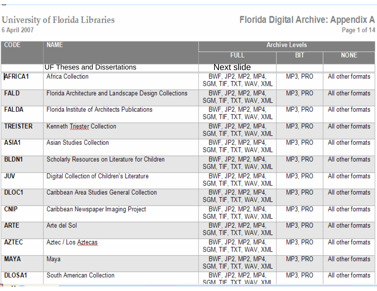#### **University of Florida Libraries** 6 April 2007

Florida Digital Archive: Appendix A

| <b>CODE</b>     | <b>NAME</b>                                           | <b>Archive Levels</b>                          |            |                   |
|-----------------|-------------------------------------------------------|------------------------------------------------|------------|-------------------|
|                 |                                                       | <b>FULL</b>                                    | <b>BIT</b> | <b>NONE</b>       |
|                 | <b>UF Theses and Dissertations</b>                    | <b>Next slide</b>                              |            |                   |
| <b>AFRICA1</b>  | <b>Africa Collection</b>                              | BWF, JP2, MP2, MP4.<br>SGM, TIF, TXT, WAV, XML | MP3, PRO   | All other formats |
| <b>FALD</b>     | Florida Architecture and Landscape Design Collections | BWF, JP2, MP2, MP4,<br>SGM, TIF, TXT, WAV, XML | MP3, PRO   | All other formats |
| <b>FALDA</b>    | Florida Institute of Architects Publications          | BWF, JP2, MP2, MP4.<br>SGM, TIF, TXT, WAV, XML | MP3, PRO   | All other formats |
| <b>TREISTER</b> | Kenneth Triester Collection                           | BWF, JP2, MP2, MP4,<br>SGM, TIF, TXT, WAV, XML | MP3, PRO   | All other formats |
| ASIA1           | <b>Asian Studies Collection</b>                       | BWF, JP2, MP2, MP4.<br>SGM, TIF, TXT, WAV, XML | MP3, PRO   | All other formats |
| <b>BLDN1</b>    | Scholarly Resources on Literature for Children        | BWF, JP2, MP2, MP4.<br>SGM, TIF, TXT, WAV, XML | MP3, PRO   | All other formats |
| <b>JUV</b>      | Digital Collection of Children's Literature           | BWF. JP2. MP2. MP4.<br>SGM, TIF, TXT, WAV, XML | MP3, PRO   | All other formats |
| DLOC1           | Caribbean Area Studies General Collection             | BWF, JP2, MP2, MP4,<br>SGM, TIF, TXT, WAV, XML | MP3, PRO   | All other formats |
| <b>CNIP</b>     | Caribbean Newspaper Imaging Project                   | BWF, JP2, MP2, MP4,<br>SGM, TIF, TXT, WAV, XML | MP3, PRO   | All other formats |
| <b>ARTE</b>     | Arte del Sol                                          | BWF, JP2, MP2, MP4,<br>SGM, TIF, TXT, WAV, XML | MP3, PRO   | All other formats |
| <b>AZTEC</b>    | Aztec / Los Aztecas                                   | BWF, JP2, MP2, MP4,<br>SGM, TIF, TXT, WAV, XML | MP3, PRO   | All other formats |
| <b>MAYA</b>     | Maya                                                  | BWF, JP2, MP2, MP4,<br>SGM, TIF, TXT, WAV, XML | MP3, PRO   | All other formats |
| <b>DLOSA1</b>   | South American Collection                             | BWF, JP2, MP2, MP4,<br>SGM TIF TXT WAV XML     | MP3, PRO   | All other formats |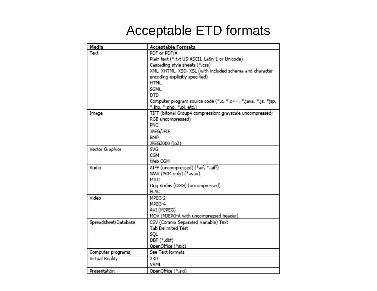#### Acceptable ETD formats

| Media                | <b>Acceptable Formats</b>                                     |  |  |
|----------------------|---------------------------------------------------------------|--|--|
| Text                 | PDF or PDF/A                                                  |  |  |
|                      | Plain text (*.txt US-ASCII, Latin-1 or Unicode)               |  |  |
|                      | Cascading style sheets (*.css)                                |  |  |
|                      | XML, XHTML, XSD, XSL (with included schema and character      |  |  |
|                      | encoding explicitly specified)                                |  |  |
|                      | <b>HTML</b>                                                   |  |  |
|                      | SGML                                                          |  |  |
|                      | DTD                                                           |  |  |
|                      | Computer program source code (*.c, *.c++, *.java, *.js, *jsp, |  |  |
|                      | *.jhp, *.php, *.pl, etc.)                                     |  |  |
| Image                | TIFF (bitonal Group4 compression; grayscale uncompressed;     |  |  |
|                      | RGB uncompressed)                                             |  |  |
|                      | PNG                                                           |  |  |
|                      | JPEG/JFIF                                                     |  |  |
|                      | BMP                                                           |  |  |
|                      | JPEG2000 (jp2)                                                |  |  |
| Vector Graphics      | SVG                                                           |  |  |
|                      | CGM                                                           |  |  |
|                      | Web CGM                                                       |  |  |
| Audio                | AIFF (uncompressed) (*aif, *.aiff)                            |  |  |
|                      | WAV (PCM only) (*.wav)                                        |  |  |
|                      | MIDI                                                          |  |  |
|                      | Ogg Vorbis (OGG) (uncompressed)                               |  |  |
|                      | <b>FLAC</b>                                                   |  |  |
| Video                | MPEG-2                                                        |  |  |
|                      | MPEG-4                                                        |  |  |
|                      | AVI (MJPEG)                                                   |  |  |
|                      | MOV (MJEPG-A with uncompressed header)                        |  |  |
| Spreadsheet/Database | CSV (Comma Separated Variable) Text                           |  |  |
|                      | Tab Delimited Test                                            |  |  |
|                      | SQL                                                           |  |  |
|                      | DBF (*.dbf)                                                   |  |  |
|                      | OpenOffice (*sxc)                                             |  |  |
| Computer programs    | See Text formats                                              |  |  |
| Virtual Reality      | X3D                                                           |  |  |
|                      | VRML                                                          |  |  |
| Presentation         | OpenOffice (*.sxi)                                            |  |  |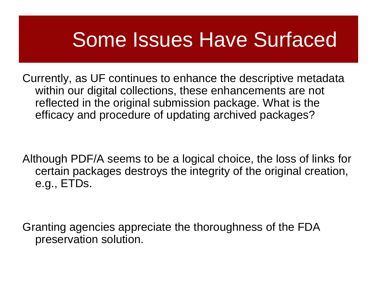## Some Issues Have Surfaced

Currently, as UF continues to enhance the descriptive metadata within our digital collections, these enhancements are not reflected in the original submission package. What is the efficacy and procedure of updating archived packages?

Although PDF/A seems to be a logical choice, the loss of links for certain packages destroys the integrity of the original creation, e.g., ETDs.

Granting agencies appreciate the thoroughness of the FDA preservation solution.